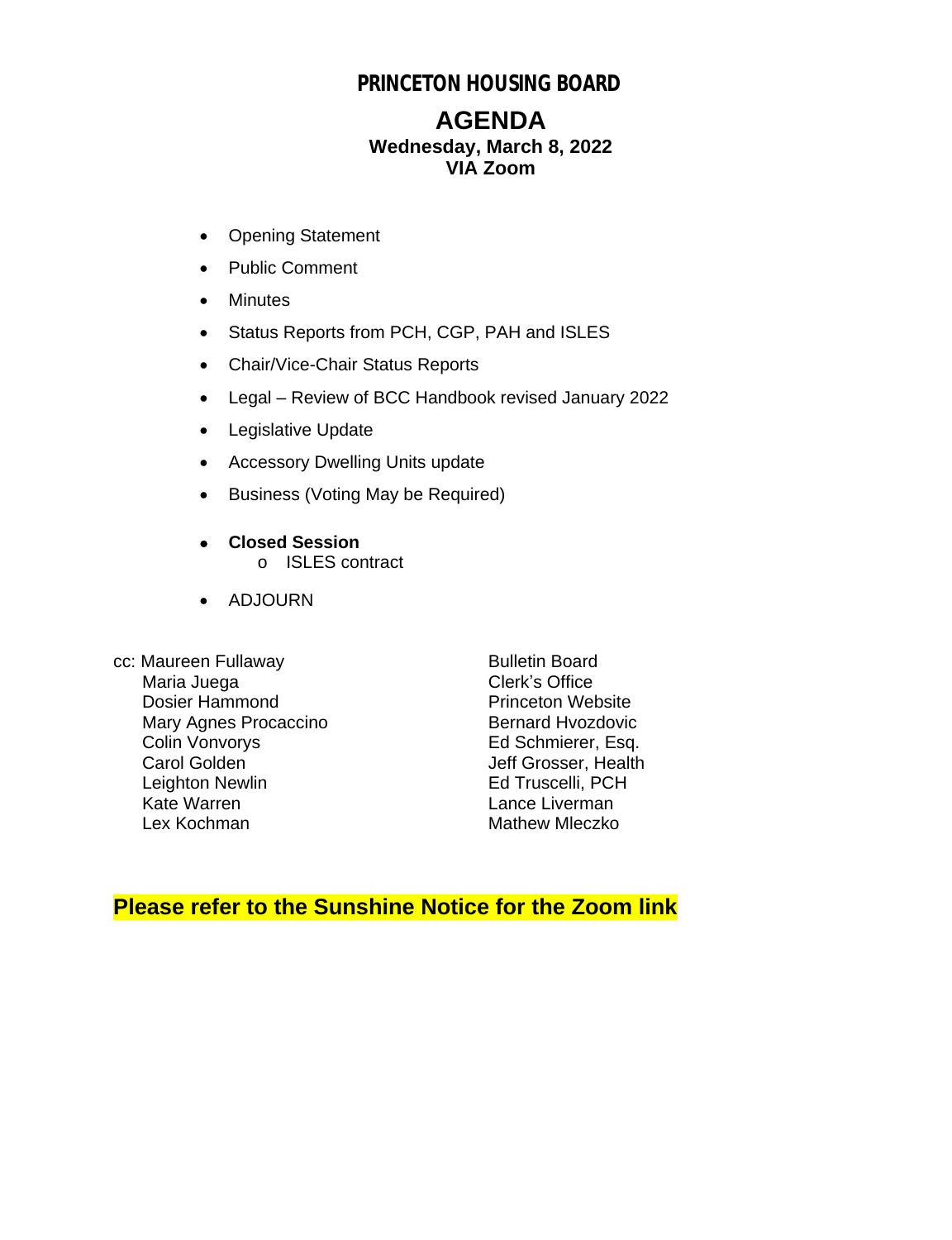## **PRINCETON HOUSING BOARD**

## **AGENDA Wednesday, March 8, 2022 VIA Zoom**

- Opening Statement
- Public Comment
- Minutes
- Status Reports from PCH, CGP, PAH and ISLES
- Chair/Vice-Chair Status Reports
- Legal Review of BCC Handbook revised January 2022
- Legislative Update
- Accessory Dwelling Units update
- Business (Voting May be Required)
- **Closed Session** o ISLES contract
- ADJOURN
- cc: Maureen Fullaway Bulletin Board<br>Maria Juega by Clerk's Office Maria Juega<br>
Dosier Hammond<br>
Dosier Hammond<br>
Clerk's Office Dosier Hammond<br>
Mary Agnes Procaccino<br>
Mary Agnes Procaccino<br>
Pernard Hyozdovic Mary Agnes Procaccino<br>Colin Vonvorys Colin Vonvorys Ed Schmierer, Esq.<br>
Carol Golden Schwierer, Health Leighton Newlin<br>Kate Warren Lex Kochman Mathew Mleczko

Jeff Grosser, Health<br>Ed Truscelli, PCH Lance Liverman

## **Please refer to the Sunshine Notice for the Zoom link**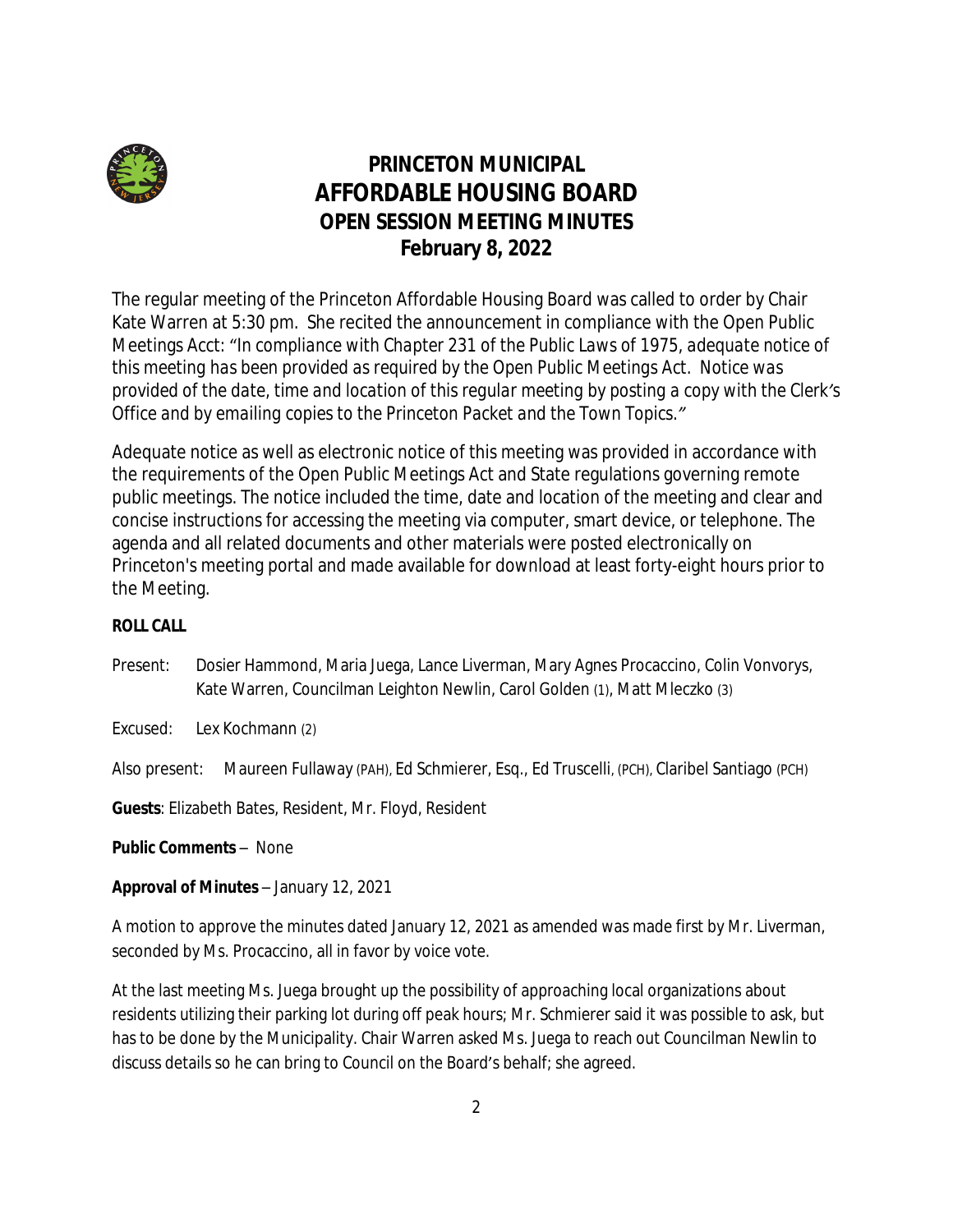

# **PRINCETON MUNICIPAL AFFORDABLE HOUSING BOARD OPEN SESSION MEETING MINUTES February 8, 2022**

The regular meeting of the Princeton Affordable Housing Board was called to order by Chair Kate Warren at 5:30 pm. She recited the announcement in compliance with the Open Public Meetings Acct: "*In compliance with Chapter 231 of the Public Laws of 1975, adequate notice of this meeting has been provided as required by the Open Public Meetings Act. Notice was provided of the date, time and location of this regular meeting by posting a copy with the Clerk's Office and by emailing copies to the Princeton Packet and the Town Topics."*

Adequate notice as well as electronic notice of this meeting was provided in accordance with the requirements of the Open Public Meetings Act and State regulations governing remote public meetings. The notice included the time, date and location of the meeting and clear and concise instructions for accessing the meeting via computer, smart device, or telephone. The agenda and all related documents and other materials were posted electronically on Princeton's meeting portal and made available for download at least forty-eight hours prior to the Meeting.

#### **ROLL CALL**

Present: Dosier Hammond, Maria Juega, Lance Liverman, Mary Agnes Procaccino, Colin Vonvorys, Kate Warren, Councilman Leighton Newlin, Carol Golden (1), Matt Mleczko (3)

Excused: Lex Kochmann (2)

Also present: Maureen Fullaway (PAH), Ed Schmierer, Esq., Ed Truscelli, (PCH), Claribel Santiago (PCH)

**Guests**: Elizabeth Bates, Resident, Mr. Floyd, Resident

**Public Comments** – None

**Approval of Minutes** – January 12, 2021

A motion to approve the minutes dated January 12, 2021 as amended was made first by Mr. Liverman, seconded by Ms. Procaccino, all in favor by voice vote.

At the last meeting Ms. Juega brought up the possibility of approaching local organizations about residents utilizing their parking lot during off peak hours; Mr. Schmierer said it was possible to ask, but has to be done by the Municipality. Chair Warren asked Ms. Juega to reach out Councilman Newlin to discuss details so he can bring to Council on the Board's behalf; she agreed.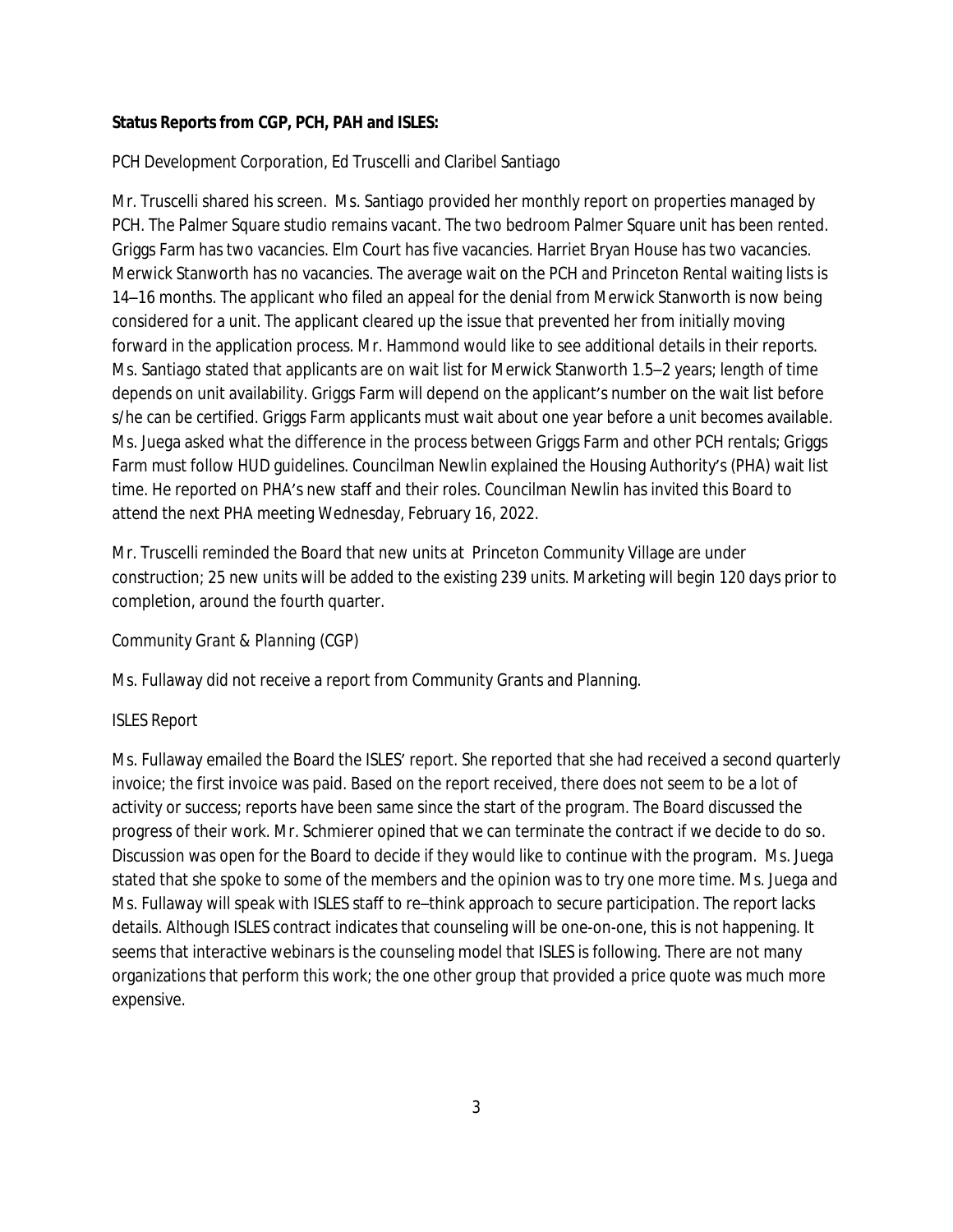#### **Status Reports from CGP, PCH, PAH and ISLES:**

#### *PCH Development Corporation*, Ed Truscelli and Claribel Santiago

Mr. Truscelli shared his screen. Ms. Santiago provided her monthly report on properties managed by PCH. The Palmer Square studio remains vacant. The two bedroom Palmer Square unit has been rented. Griggs Farm has two vacancies. Elm Court has five vacancies. Harriet Bryan House has two vacancies. Merwick Stanworth has no vacancies. The average wait on the PCH and Princeton Rental waiting lists is 14–16 months. The applicant who filed an appeal for the denial from Merwick Stanworth is now being considered for a unit. The applicant cleared up the issue that prevented her from initially moving forward in the application process. Mr. Hammond would like to see additional details in their reports. Ms. Santiago stated that applicants are on wait list for Merwick Stanworth 1.5–2 years; length of time depends on unit availability. Griggs Farm will depend on the applicant's number on the wait list before s/he can be certified. Griggs Farm applicants must wait about one year before a unit becomes available. Ms. Juega asked what the difference in the process between Griggs Farm and other PCH rentals; Griggs Farm must follow HUD guidelines. Councilman Newlin explained the Housing Authority's (PHA) wait list time. He reported on PHA's new staff and their roles. Councilman Newlin has invited this Board to attend the next PHA meeting Wednesday, February 16, 2022.

Mr. Truscelli reminded the Board that new units at Princeton Community Village are under construction; 25 new units will be added to the existing 239 units. Marketing will begin 120 days prior to completion, around the fourth quarter.

#### *Community Grant & Planning* (CGP)

Ms. Fullaway did not receive a report from Community Grants and Planning.

#### *ISLES Report*

Ms. Fullaway emailed the Board the ISLES' report. She reported that she had received a second quarterly invoice; the first invoice was paid. Based on the report received, there does not seem to be a lot of activity or success; reports have been same since the start of the program. The Board discussed the progress of their work. Mr. Schmierer opined that we can terminate the contract if we decide to do so. Discussion was open for the Board to decide if they would like to continue with the program. Ms. Juega stated that she spoke to some of the members and the opinion was to try one more time. Ms. Juega and Ms. Fullaway will speak with ISLES staff to re–think approach to secure participation. The report lacks details. Although ISLES contract indicates that counseling will be one-on-one, this is not happening. It seems that interactive webinars is the counseling model that ISLES is following. There are not many organizations that perform this work; the one other group that provided a price quote was much more expensive.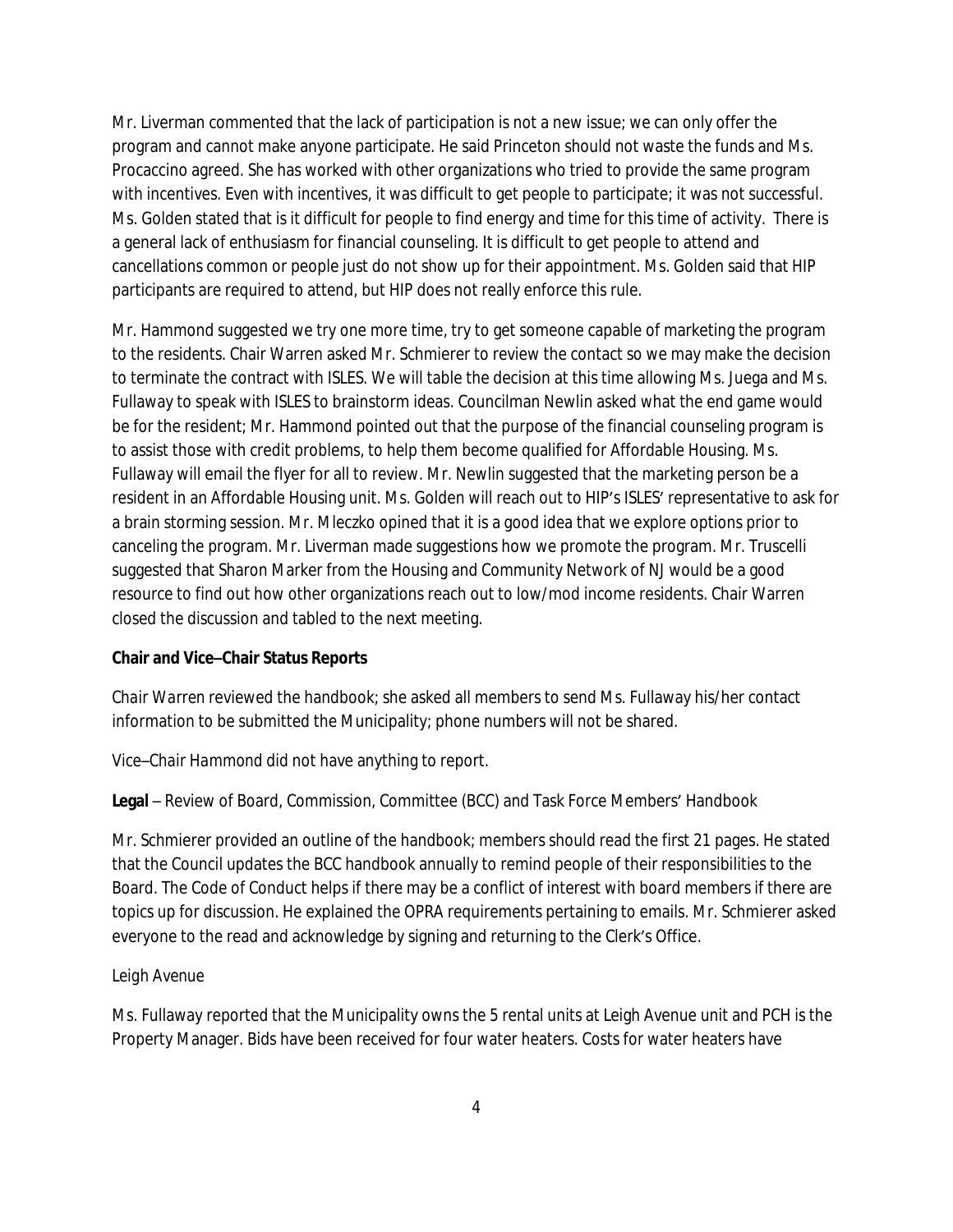Mr. Liverman commented that the lack of participation is not a new issue; we can only offer the program and cannot make anyone participate. He said Princeton should not waste the funds and Ms. Procaccino agreed. She has worked with other organizations who tried to provide the same program with incentives. Even with incentives, it was difficult to get people to participate; it was not successful. Ms. Golden stated that is it difficult for people to find energy and time for this time of activity. There is a general lack of enthusiasm for financial counseling. It is difficult to get people to attend and cancellations common or people just do not show up for their appointment. Ms. Golden said that HIP participants are required to attend, but HIP does not really enforce this rule.

Mr. Hammond suggested we try one more time, try to get someone capable of marketing the program to the residents. Chair Warren asked Mr. Schmierer to review the contact so we may make the decision to terminate the contract with ISLES. We will table the decision at this time allowing Ms. Juega and Ms. Fullaway to speak with ISLES to brainstorm ideas. Councilman Newlin asked what the end game would be for the resident; Mr. Hammond pointed out that the purpose of the financial counseling program is to assist those with credit problems, to help them become qualified for Affordable Housing. Ms. Fullaway will email the flyer for all to review. Mr. Newlin suggested that the marketing person be a resident in an Affordable Housing unit. Ms. Golden will reach out to HIP's ISLES' representative to ask for a brain storming session. Mr. Mleczko opined that it is a good idea that we explore options prior to canceling the program. Mr. Liverman made suggestions how we promote the program. Mr. Truscelli suggested that Sharon Marker from the Housing and Community Network of NJ would be a good resource to find out how other organizations reach out to low/mod income residents. Chair Warren closed the discussion and tabled to the next meeting.

#### **Chair and Vice–Chair Status Reports**

*Chair Warren* reviewed the handbook; she asked all members to send Ms. Fullaway his/her contact information to be submitted the Municipality; phone numbers will not be shared.

*Vice–Chair Hammond* did not have anything to report.

**Legal** – Review of Board, Commission, Committee (BCC) and Task Force Members' Handbook

Mr. Schmierer provided an outline of the handbook; members should read the first 21 pages. He stated that the Council updates the BCC handbook annually to remind people of their responsibilities to the Board. The Code of Conduct helps if there may be a conflict of interest with board members if there are topics up for discussion. He explained the OPRA requirements pertaining to emails. Mr. Schmierer asked everyone to the read and acknowledge by signing and returning to the Clerk's Office.

#### *Leigh Avenue*

Ms. Fullaway reported that the Municipality owns the 5 rental units at Leigh Avenue unit and PCH is the Property Manager. Bids have been received for four water heaters. Costs for water heaters have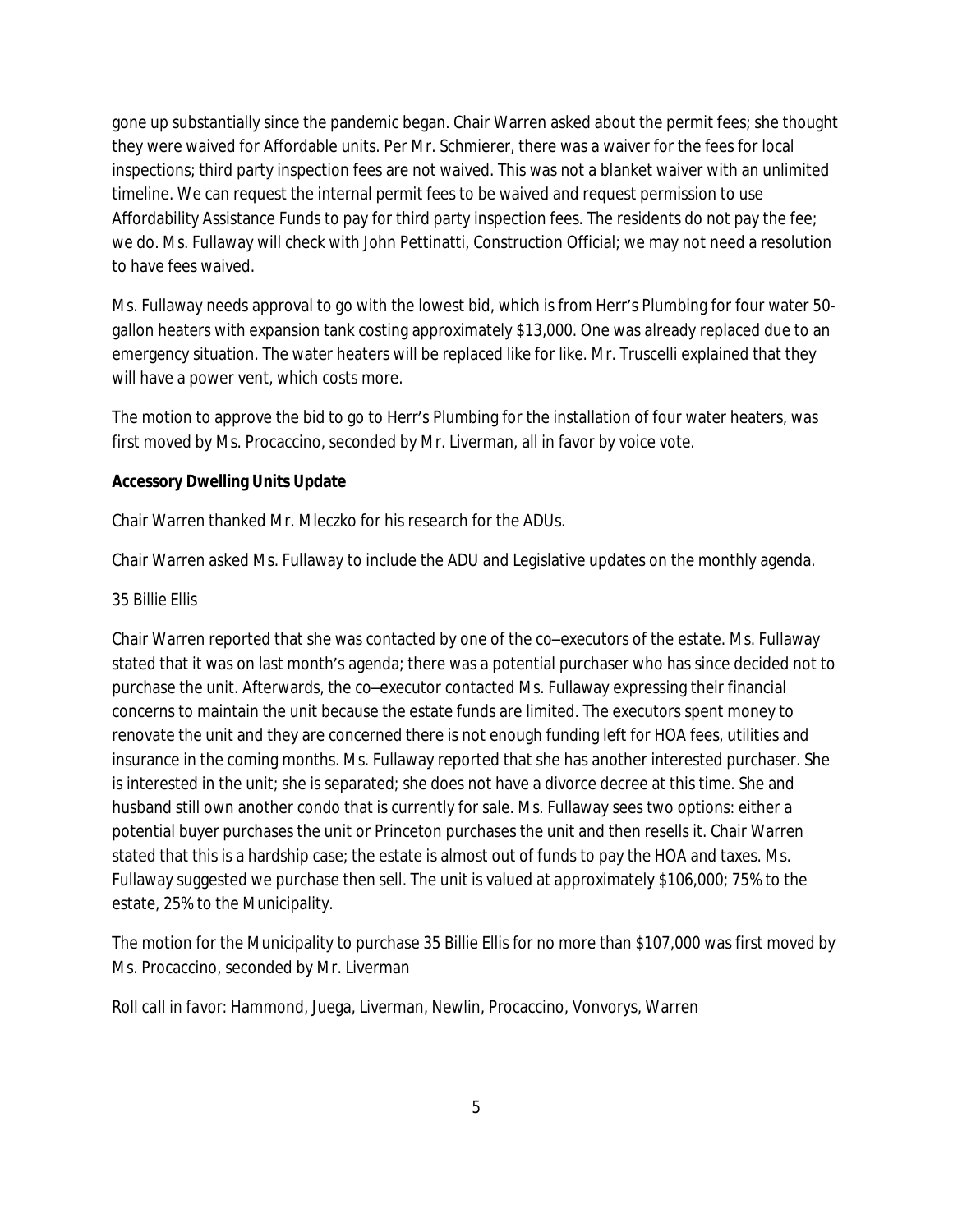gone up substantially since the pandemic began. Chair Warren asked about the permit fees; she thought they were waived for Affordable units. Per Mr. Schmierer, there was a waiver for the fees for local inspections; third party inspection fees are not waived. This was not a blanket waiver with an unlimited timeline. We can request the internal permit fees to be waived and request permission to use Affordability Assistance Funds to pay for third party inspection fees. The residents do not pay the fee; we do. Ms. Fullaway will check with John Pettinatti, Construction Official; we may not need a resolution to have fees waived.

Ms. Fullaway needs approval to go with the lowest bid, which is from Herr's Plumbing for four water 50 gallon heaters with expansion tank costing approximately \$13,000. One was already replaced due to an emergency situation. The water heaters will be replaced like for like. Mr. Truscelli explained that they will have a power vent, which costs more.

The motion to approve the bid to go to Herr's Plumbing for the installation of four water heaters, was first moved by Ms. Procaccino, seconded by Mr. Liverman, all in favor by voice vote.

#### **Accessory Dwelling Units Update**

Chair Warren thanked Mr. Mleczko for his research for the ADUs.

Chair Warren asked Ms. Fullaway to include the ADU and Legislative updates on the monthly agenda.

#### *35 Billie Ellis*

Chair Warren reported that she was contacted by one of the co–executors of the estate. Ms. Fullaway stated that it was on last month's agenda; there was a potential purchaser who has since decided not to purchase the unit. Afterwards, the co–executor contacted Ms. Fullaway expressing their financial concerns to maintain the unit because the estate funds are limited. The executors spent money to renovate the unit and they are concerned there is not enough funding left for HOA fees, utilities and insurance in the coming months. Ms. Fullaway reported that she has another interested purchaser. She is interested in the unit; she is separated; she does not have a divorce decree at this time. She and husband still own another condo that is currently for sale. Ms. Fullaway sees two options: either a potential buyer purchases the unit or Princeton purchases the unit and then resells it. Chair Warren stated that this is a hardship case; the estate is almost out of funds to pay the HOA and taxes. Ms. Fullaway suggested we purchase then sell. The unit is valued at approximately \$106,000; 75% to the estate, 25% to the Municipality.

The motion for the Municipality to purchase 35 Billie Ellis for no more than \$107,000 was first moved by Ms. Procaccino, seconded by Mr. Liverman

*Roll call in favor:* Hammond, Juega, Liverman, Newlin, Procaccino, Vonvorys, Warren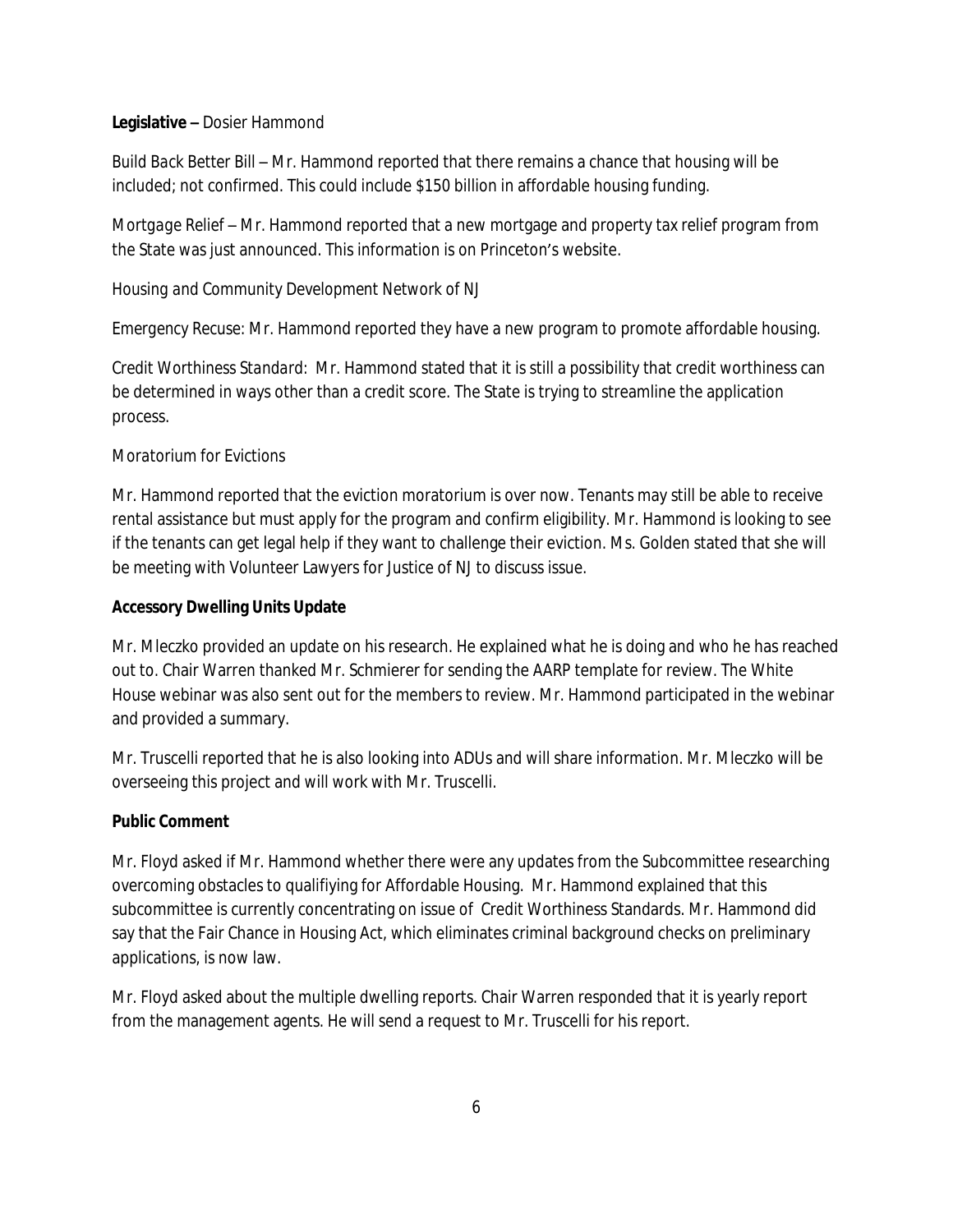#### **Legislative –** Dosier Hammond

*Build Back Better Bill* – Mr. Hammond reported that there remains a chance that housing will be included; not confirmed. This could include \$150 billion in affordable housing funding.

*Mortgage Relief* – Mr. Hammond reported that a new mortgage and property tax relief program from the State was just announced. This information is on Princeton's website.

#### *Housing and Community Development Network of NJ*

*Emergency Recuse:* Mr. Hammond reported they have a new program to promote affordable housing.

*Credit Worthiness Standard:* Mr. Hammond stated that it is still a possibility that credit worthiness can be determined in ways other than a credit score. The State is trying to streamline the application process.

#### *Moratorium for Evictions*

Mr. Hammond reported that the eviction moratorium is over now. Tenants may still be able to receive rental assistance but must apply for the program and confirm eligibility. Mr. Hammond is looking to see if the tenants can get legal help if they want to challenge their eviction. Ms. Golden stated that she will be meeting with Volunteer Lawyers for Justice of NJ to discuss issue.

#### **Accessory Dwelling Units Update**

Mr. Mleczko provided an update on his research. He explained what he is doing and who he has reached out to. Chair Warren thanked Mr. Schmierer for sending the AARP template for review. The White House webinar was also sent out for the members to review. Mr. Hammond participated in the webinar and provided a summary.

Mr. Truscelli reported that he is also looking into ADUs and will share information. Mr. Mleczko will be overseeing this project and will work with Mr. Truscelli.

#### **Public Comment**

Mr. Floyd asked if Mr. Hammond whether there were any updates from the Subcommittee researching overcoming obstacles to qualifiying for Affordable Housing. Mr. Hammond explained that this subcommittee is currently concentrating on issue of Credit Worthiness Standards. Mr. Hammond did say that the Fair Chance in Housing Act, which eliminates criminal background checks on preliminary applications, is now law.

Mr. Floyd asked about the multiple dwelling reports. Chair Warren responded that it is yearly report from the management agents. He will send a request to Mr. Truscelli for his report.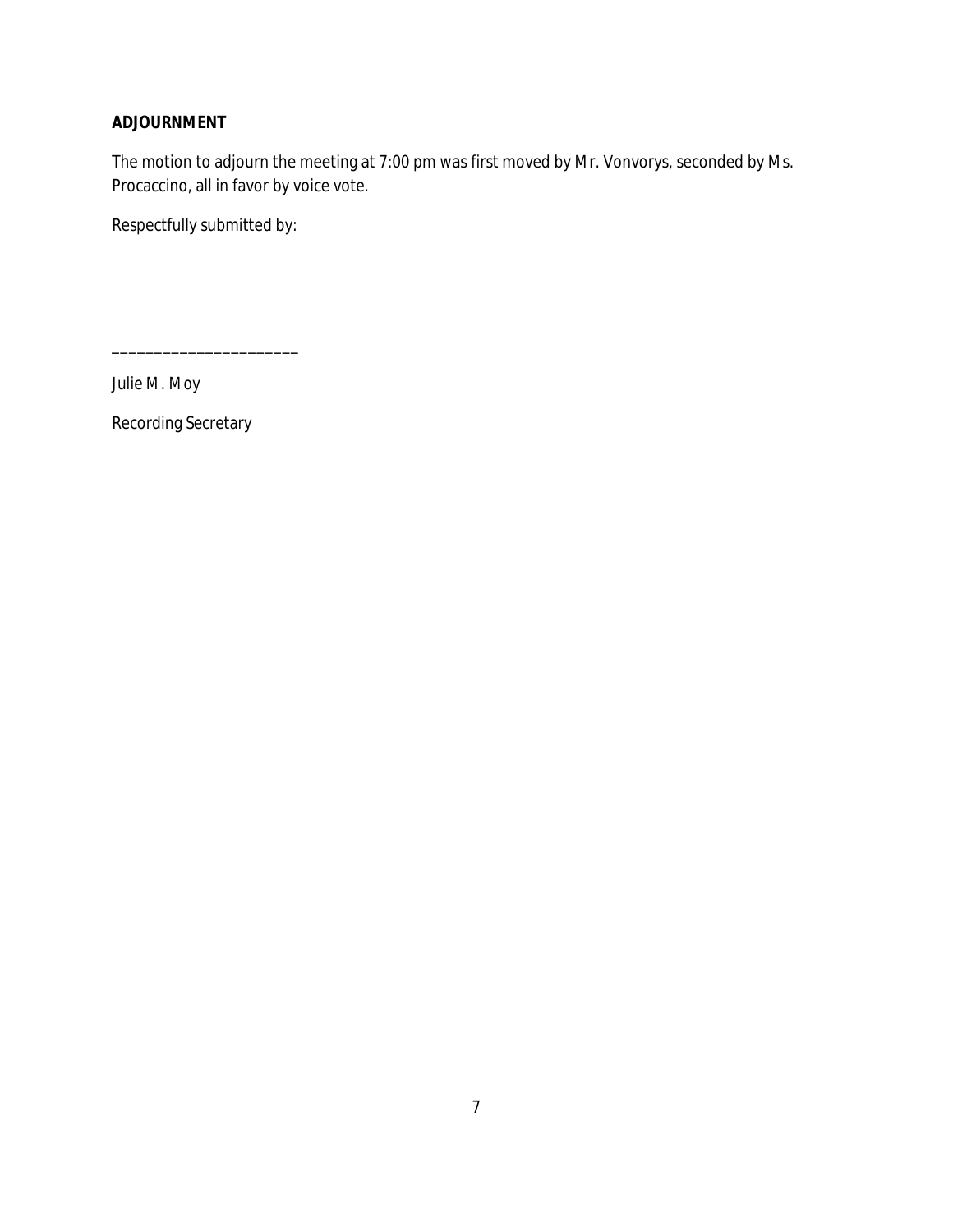#### **ADJOURNMENT**

The motion to adjourn the meeting at 7:00 pm was first moved by Mr. Vonvorys, seconded by Ms. Procaccino, all in favor by voice vote.

Respectfully submitted by:

\_\_\_\_\_\_\_\_\_\_\_\_\_\_\_\_\_\_\_\_\_\_

*Julie M. Moy*

Recording Secretary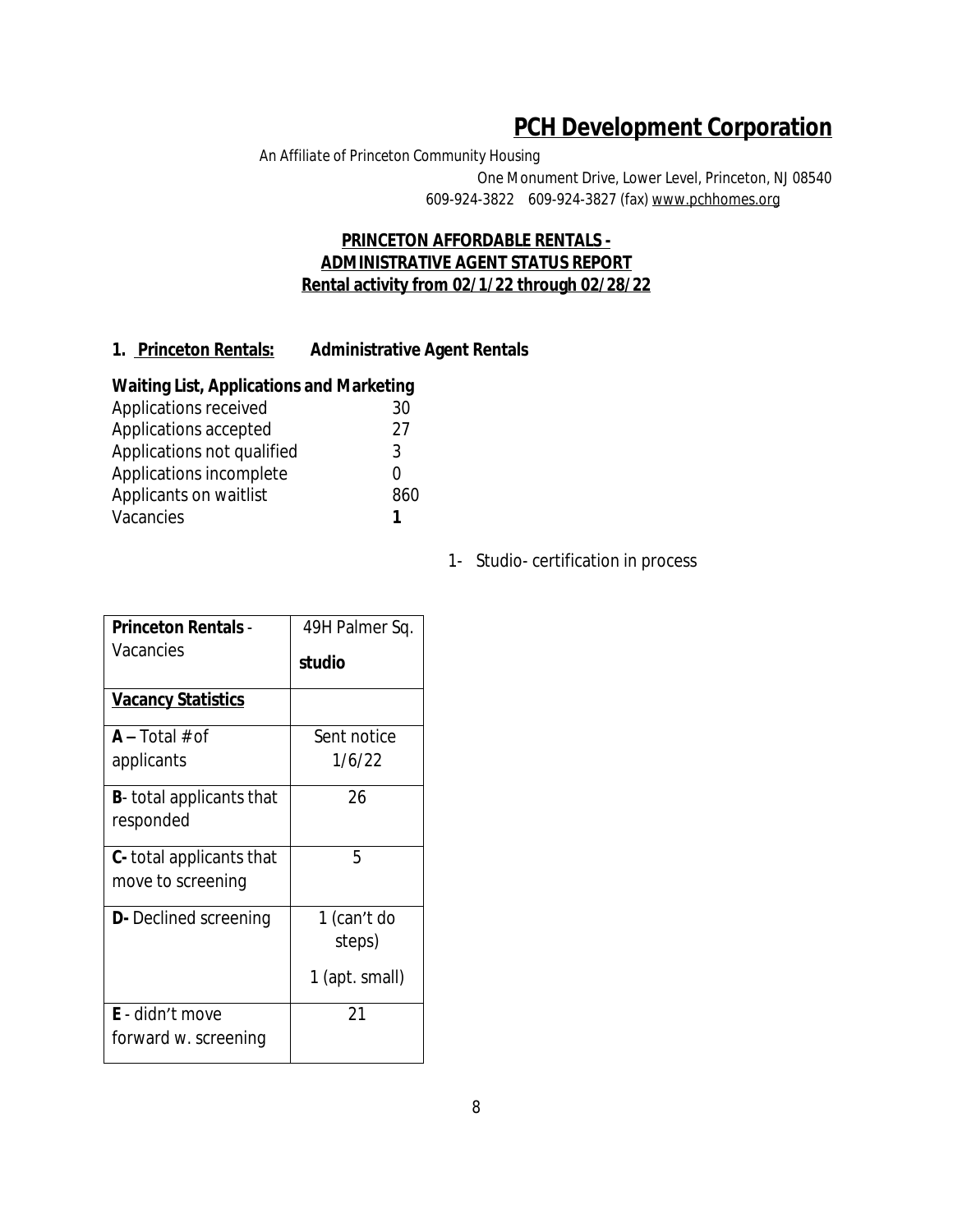# **PCH Development Corporation**

*An Affiliate of Princeton Community Housing* One Monument Drive, Lower Level, Princeton, NJ 08540 609-924-3822 609-924-3827 (fax) www.pchhomes.org

#### **PRINCETON AFFORDABLE RENTALS - ADMINISTRATIVE AGENT STATUS REPORT Rental activity from 02/1/22 through 02/28/22**

### **1. Princeton Rentals: Administrative Agent Rentals**

#### **Waiting List, Applications and Marketing**

| Applications received      | 30  |
|----------------------------|-----|
| Applications accepted      | 27  |
| Applications not qualified | 3   |
| Applications incomplete    |     |
| Applicants on waitlist     | 860 |
| Vacancies                  |     |
|                            |     |

1- Studio- certification in process

| <b>Princeton Rentals -</b>      | 49H Palmer Sq. |
|---------------------------------|----------------|
| Vacancies                       | studio         |
| <b>Vacancy Statistics</b>       |                |
| $A - Total # of$                | Sent notice    |
| applicants                      | 1/6/22         |
| <b>B</b> -total applicants that | 26             |
| responded                       |                |
| <b>C</b> -total applicants that | 5              |
| move to screening               |                |
| <b>D</b> - Declined screening   | 1 (can't do    |
|                                 | steps)         |
|                                 | 1 (apt. small) |
| <b>E</b> - didn't move          | 21             |
| forward w. screening            |                |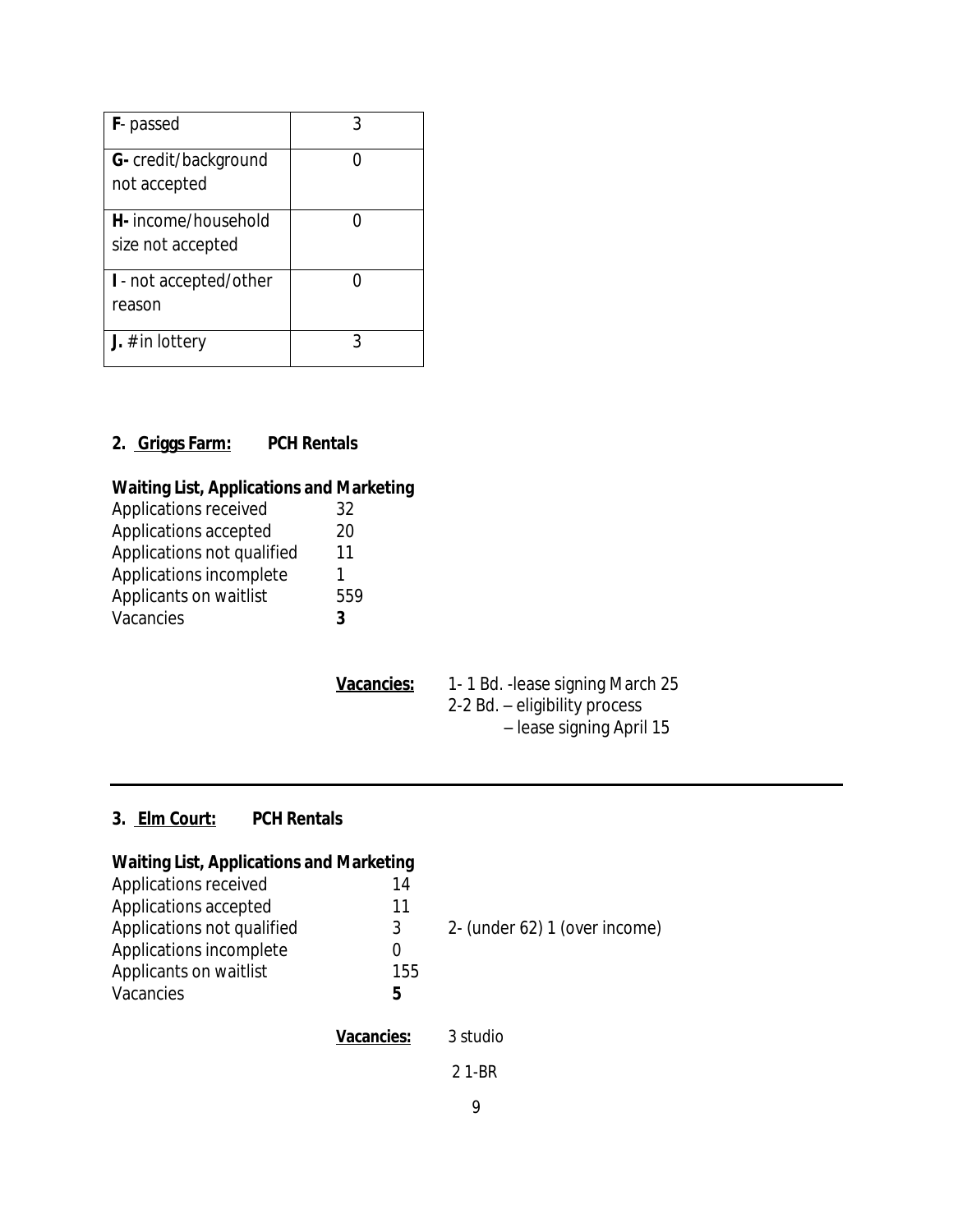| <b>F</b> -passed                         |  |
|------------------------------------------|--|
| G- credit/background<br>not accepted     |  |
| H- income/household<br>size not accepted |  |
| I - not accepted/other<br>reason         |  |
| <b>J.</b> # in lottery                   |  |

## **2. Griggs Farm: PCH Rentals**

## **Waiting List, Applications and Marketing**

| Applications received      | 32  |
|----------------------------|-----|
| Applications accepted      | 20  |
| Applications not qualified | 11  |
| Applications incomplete    |     |
| Applicants on waitlist     | 559 |
| Vacancies                  | 3   |

Vacancies: 1-1 Bd. - lease signing March 25 2-2 Bd. – eligibility process – lease signing April 15

## **3. Elm Court: PCH Rentals**

| <b>Waiting List, Applications and Marketing</b> |                               |
|-------------------------------------------------|-------------------------------|
| 14                                              |                               |
| 11                                              |                               |
| 3                                               | 2- (under 62) 1 (over income) |
| 0                                               |                               |
| 155                                             |                               |
| 5                                               |                               |
| Vacancies:                                      | 3 studio                      |
|                                                 |                               |

2 1-BR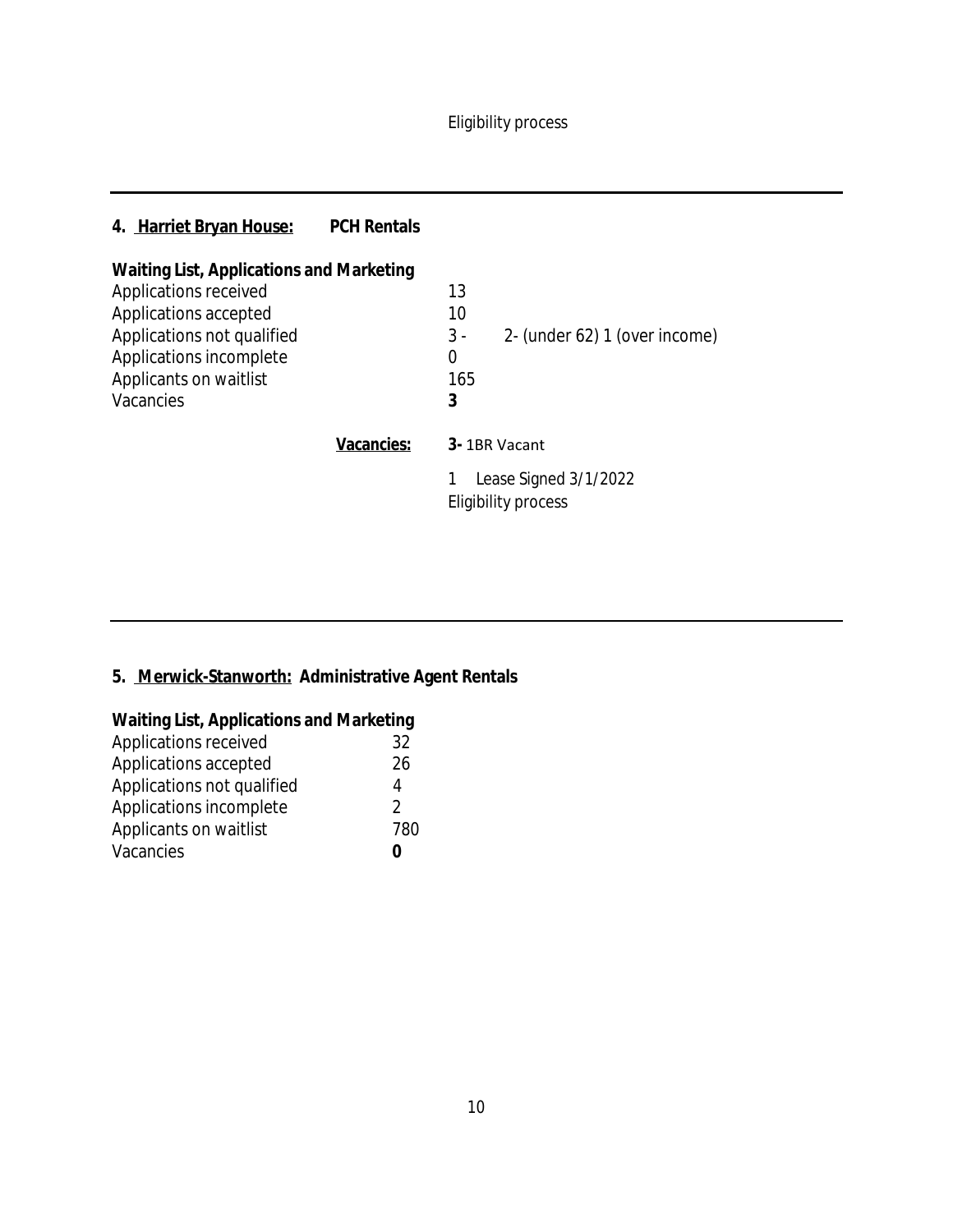Eligibility process

# **4. Harriet Bryan House: PCH Rentals**

| <b>Waiting List, Applications and Marketing</b> |                                              |
|-------------------------------------------------|----------------------------------------------|
| Applications received                           | 13                                           |
| Applications accepted                           | 10                                           |
| Applications not qualified                      | 2- (under 62) 1 (over income)<br>$3 -$       |
| Applications incomplete                         | 0                                            |
| Applicants on waitlist                          | 165                                          |
| Vacancies                                       | 3                                            |
| Vacancies:                                      | 3-1BR Vacant                                 |
|                                                 | Lease Signed 3/1/2022<br>Eligibility process |

# **5. Merwick-Stanworth: Administrative Agent Rentals**

| <b>Waiting List, Applications and Marketing</b> |  |  |
|-------------------------------------------------|--|--|
| 32                                              |  |  |
| 26                                              |  |  |
| 4                                               |  |  |
| $\mathcal{L}$                                   |  |  |
| 780                                             |  |  |
| O                                               |  |  |
|                                                 |  |  |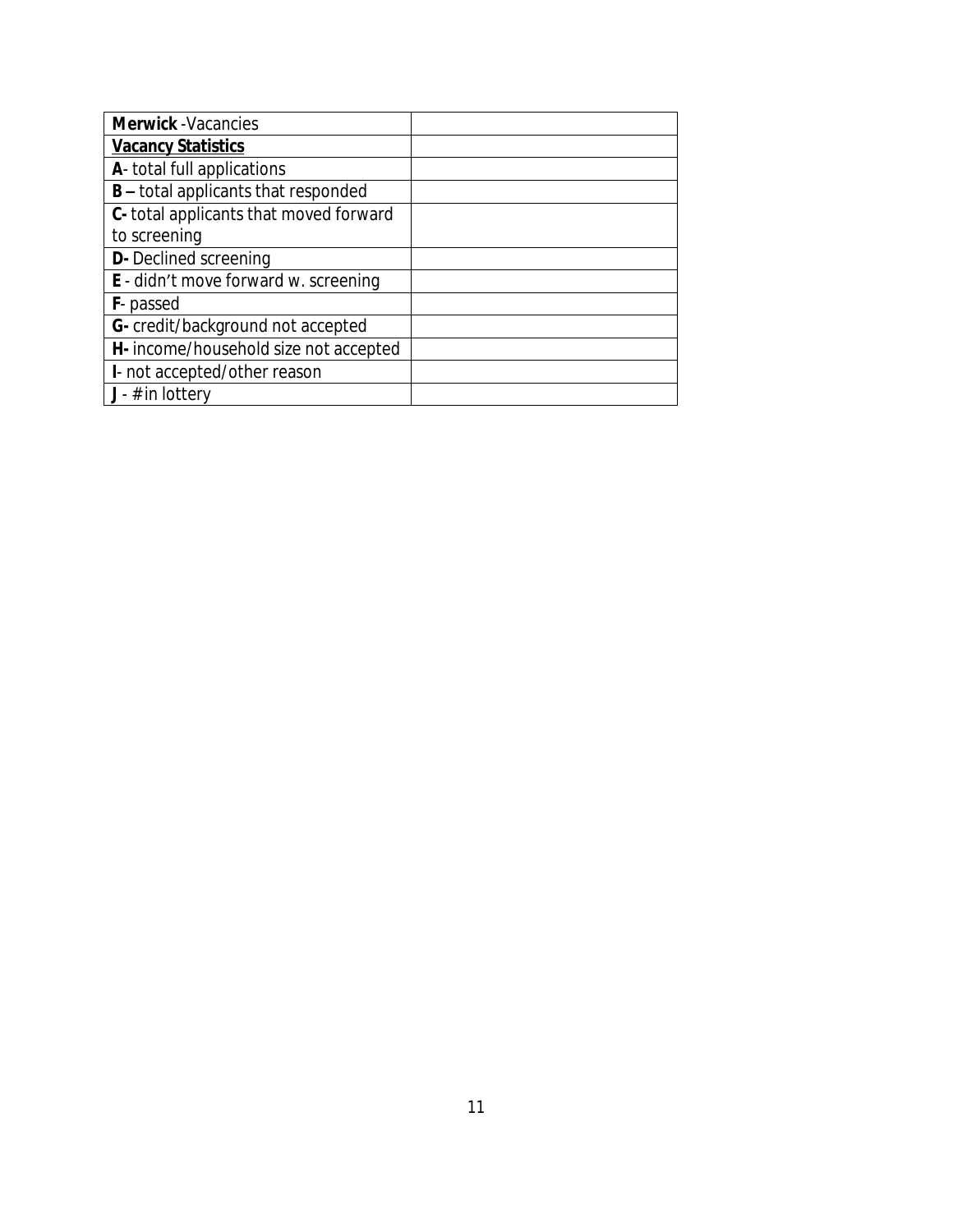| <b>Merwick</b> - Vacancies                  |  |
|---------------------------------------------|--|
| <b>Vacancy Statistics</b>                   |  |
| A- total full applications                  |  |
| <b>B</b> – total applicants that responded  |  |
| C- total applicants that moved forward      |  |
| to screening                                |  |
| <b>D-</b> Declined screening                |  |
| <b>E</b> - didn't move forward w. screening |  |
| <b>F</b> -passed                            |  |
| G- credit/background not accepted           |  |
| H- income/household size not accepted       |  |
| I- not accepted/other reason                |  |
| $J - #$ in lottery                          |  |